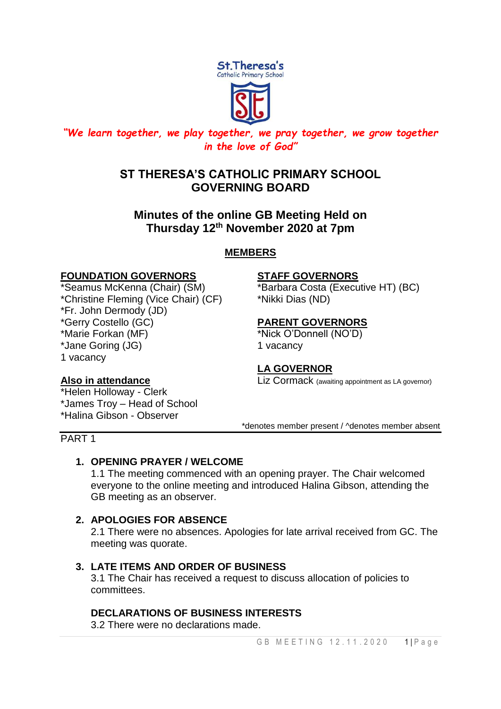

# *"We learn together, we play together, we pray together, we grow together in the love of God"*

# **ST THERESA'S CATHOLIC PRIMARY SCHOOL GOVERNING BOARD**

# **Minutes of the online GB Meeting Held on Thursday 12th November 2020 at 7pm**

# **MEMBERS**

### **FOUNDATION GOVERNORS STAFF GOVERNORS**

\*Christine Fleming (Vice Chair) (CF) \*Nikki Dias (ND) \*Fr. John Dermody (JD) \*Gerry Costello (GC) **PARENT GOVERNORS** \*Marie Forkan (MF) \*Nick O'Donnell (NO'D) \*Jane Goring (JG) 1 vacancy 1 vacancy

\*Seamus McKenna (Chair) (SM) \*Barbara Costa (Executive HT) (BC)

# **LA GOVERNOR**

**Also in attendance** Liz Cormack (awaiting appointment as LA governor)

\*denotes member present / ^denotes member absent

\*Helen Holloway - Clerk \*James Troy – Head of School \*Halina Gibson - Observer

#### PART 1

# **1. OPENING PRAYER / WELCOME**

1.1 The meeting commenced with an opening prayer. The Chair welcomed everyone to the online meeting and introduced Halina Gibson, attending the GB meeting as an observer.

# **2. APOLOGIES FOR ABSENCE**

2.1 There were no absences. Apologies for late arrival received from GC. The meeting was quorate.

# **3. LATE ITEMS AND ORDER OF BUSINESS**

3.1 The Chair has received a request to discuss allocation of policies to committees.

# **DECLARATIONS OF BUSINESS INTERESTS**

3.2 There were no declarations made.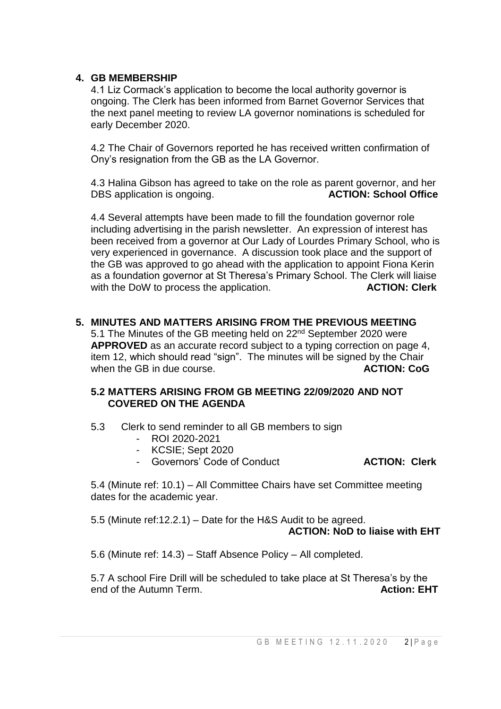#### **4. GB MEMBERSHIP**

4.1 Liz Cormack's application to become the local authority governor is ongoing. The Clerk has been informed from Barnet Governor Services that the next panel meeting to review LA governor nominations is scheduled for early December 2020.

4.2 The Chair of Governors reported he has received written confirmation of Ony's resignation from the GB as the LA Governor.

4.3 Halina Gibson has agreed to take on the role as parent governor, and her DBS application is ongoing. **ACTION: School Office**

4.4 Several attempts have been made to fill the foundation governor role including advertising in the parish newsletter. An expression of interest has been received from a governor at Our Lady of Lourdes Primary School, who is very experienced in governance. A discussion took place and the support of the GB was approved to go ahead with the application to appoint Fiona Kerin as a foundation governor at St Theresa's Primary School. The Clerk will liaise with the DoW to process the application. **ACTION: Clerk** 

#### **5. MINUTES AND MATTERS ARISING FROM THE PREVIOUS MEETING**

5.1 The Minutes of the GB meeting held on 22<sup>nd</sup> September 2020 were **APPROVED** as an accurate record subject to a typing correction on page 4, item 12, which should read "sign". The minutes will be signed by the Chair when the GB in due course. **ACTION: CoG ACTION: CoG** 

#### **5.2 MATTERS ARISING FROM GB MEETING 22/09/2020 AND NOT COVERED ON THE AGENDA**

- 5.3 Clerk to send reminder to all GB members to sign
	- ROI 2020-2021
	- KCSIE; Sept 2020
	- Governors' Code of Conduct **ACTION: Clerk**

5.4 (Minute ref: 10.1) – All Committee Chairs have set Committee meeting dates for the academic year.

5.5 (Minute ref:12.2.1) – Date for the H&S Audit to be agreed. **ACTION: NoD to liaise with EHT**

5.6 (Minute ref: 14.3) – Staff Absence Policy – All completed.

5.7 A school Fire Drill will be scheduled to take place at St Theresa's by the end of the Autumn Term. **Action: EHT Action: EHT**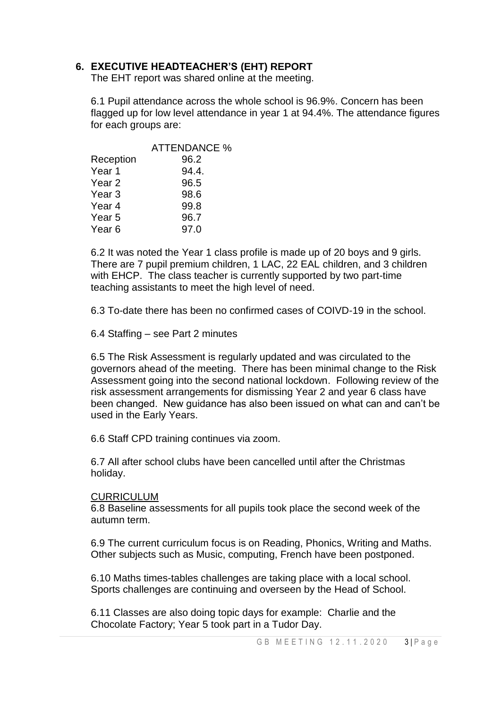### **6. EXECUTIVE HEADTEACHER'S (EHT) REPORT**

The EHT report was shared online at the meeting.

6.1 Pupil attendance across the whole school is 96.9%. Concern has been flagged up for low level attendance in year 1 at 94.4%. The attendance figures for each groups are:

|                   | <b>ATTENDANCE %</b> |
|-------------------|---------------------|
| Reception         | 96.2                |
| Year 1            | 94.4.               |
| Year <sub>2</sub> | 96.5                |
| Year <sub>3</sub> | 98.6                |
| Year 4            | 99.8                |
| Year 5            | 96.7                |
| Year 6            | 97.0                |

6.2 It was noted the Year 1 class profile is made up of 20 boys and 9 girls. There are 7 pupil premium children, 1 LAC, 22 EAL children, and 3 children with EHCP. The class teacher is currently supported by two part-time teaching assistants to meet the high level of need.

6.3 To-date there has been no confirmed cases of COIVD-19 in the school.

6.4 Staffing – see Part 2 minutes

6.5 The Risk Assessment is regularly updated and was circulated to the governors ahead of the meeting. There has been minimal change to the Risk Assessment going into the second national lockdown. Following review of the risk assessment arrangements for dismissing Year 2 and year 6 class have been changed. New guidance has also been issued on what can and can't be used in the Early Years.

6.6 Staff CPD training continues via zoom.

6.7 All after school clubs have been cancelled until after the Christmas holiday.

#### **CURRICULUM**

6.8 Baseline assessments for all pupils took place the second week of the autumn term.

6.9 The current curriculum focus is on Reading, Phonics, Writing and Maths. Other subjects such as Music, computing, French have been postponed.

6.10 Maths times-tables challenges are taking place with a local school. Sports challenges are continuing and overseen by the Head of School.

6.11 Classes are also doing topic days for example: Charlie and the Chocolate Factory; Year 5 took part in a Tudor Day.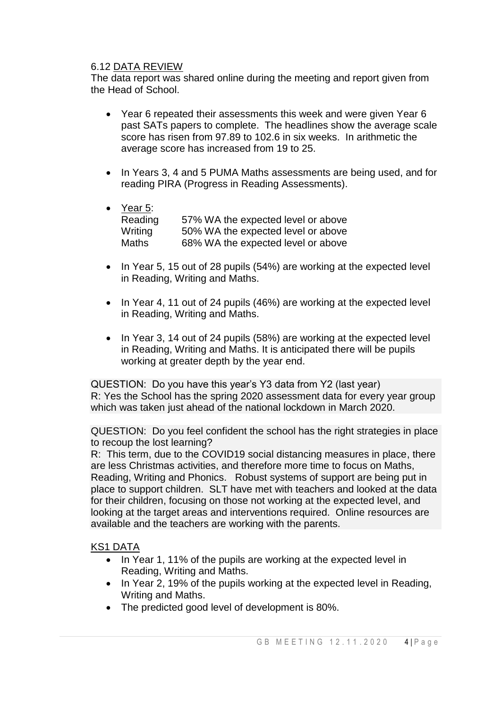### 6.12 DATA REVIEW

The data report was shared online during the meeting and report given from the Head of School.

- Year 6 repeated their assessments this week and were given Year 6 past SATs papers to complete. The headlines show the average scale score has risen from 97.89 to 102.6 in six weeks. In arithmetic the average score has increased from 19 to 25.
- In Years 3, 4 and 5 PUMA Maths assessments are being used, and for reading PIRA (Progress in Reading Assessments).
- Year 5: Reading 57% WA the expected level or above Writing 50% WA the expected level or above Maths 68% WA the expected level or above
- $\bullet$  In Year 5, 15 out of 28 pupils (54%) are working at the expected level in Reading, Writing and Maths.
- In Year 4, 11 out of 24 pupils (46%) are working at the expected level in Reading, Writing and Maths.
- In Year 3, 14 out of 24 pupils (58%) are working at the expected level in Reading, Writing and Maths. It is anticipated there will be pupils working at greater depth by the year end.

QUESTION: Do you have this year's Y3 data from Y2 (last year) R: Yes the School has the spring 2020 assessment data for every year group which was taken just ahead of the national lockdown in March 2020.

QUESTION: Do you feel confident the school has the right strategies in place to recoup the lost learning?

R: This term, due to the COVID19 social distancing measures in place, there are less Christmas activities, and therefore more time to focus on Maths, Reading, Writing and Phonics. Robust systems of support are being put in place to support children. SLT have met with teachers and looked at the data for their children, focusing on those not working at the expected level, and looking at the target areas and interventions required. Online resources are available and the teachers are working with the parents.

#### KS1 DATA

- In Year 1, 11% of the pupils are working at the expected level in Reading, Writing and Maths.
- In Year 2, 19% of the pupils working at the expected level in Reading, Writing and Maths.
- The predicted good level of development is 80%.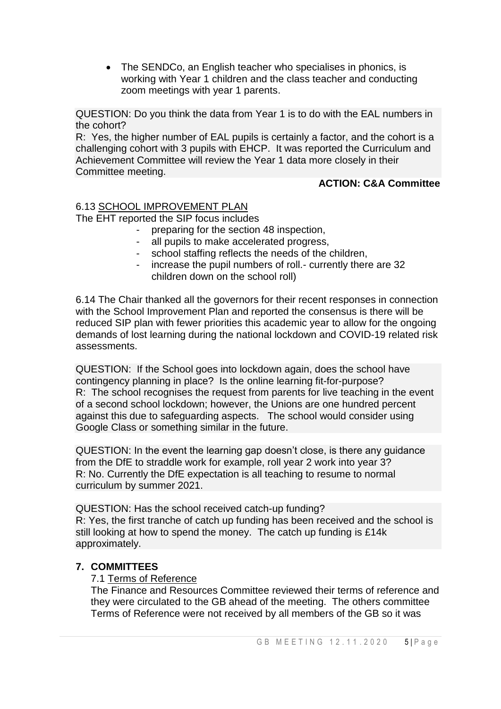• The SENDCo, an English teacher who specialises in phonics, is working with Year 1 children and the class teacher and conducting zoom meetings with year 1 parents.

QUESTION: Do you think the data from Year 1 is to do with the EAL numbers in the cohort?

R: Yes, the higher number of EAL pupils is certainly a factor, and the cohort is a challenging cohort with 3 pupils with EHCP. It was reported the Curriculum and Achievement Committee will review the Year 1 data more closely in their Committee meeting.

#### **ACTION: C&A Committee**

## 6.13 SCHOOL IMPROVEMENT PLAN

The EHT reported the SIP focus includes

- preparing for the section 48 inspection,
- all pupils to make accelerated progress,
- school staffing reflects the needs of the children,
- increase the pupil numbers of roll.- currently there are 32 children down on the school roll)

6.14 The Chair thanked all the governors for their recent responses in connection with the School Improvement Plan and reported the consensus is there will be reduced SIP plan with fewer priorities this academic year to allow for the ongoing demands of lost learning during the national lockdown and COVID-19 related risk assessments.

QUESTION: If the School goes into lockdown again, does the school have contingency planning in place? Is the online learning fit-for-purpose? R: The school recognises the request from parents for live teaching in the event of a second school lockdown; however, the Unions are one hundred percent against this due to safeguarding aspects. The school would consider using Google Class or something similar in the future.

QUESTION: In the event the learning gap doesn't close, is there any guidance from the DfE to straddle work for example, roll year 2 work into year 3? R: No. Currently the DfE expectation is all teaching to resume to normal curriculum by summer 2021.

QUESTION: Has the school received catch-up funding? R: Yes, the first tranche of catch up funding has been received and the school is still looking at how to spend the money. The catch up funding is £14k approximately.

#### **7. COMMITTEES**

#### 7.1 Terms of Reference

The Finance and Resources Committee reviewed their terms of reference and they were circulated to the GB ahead of the meeting. The others committee Terms of Reference were not received by all members of the GB so it was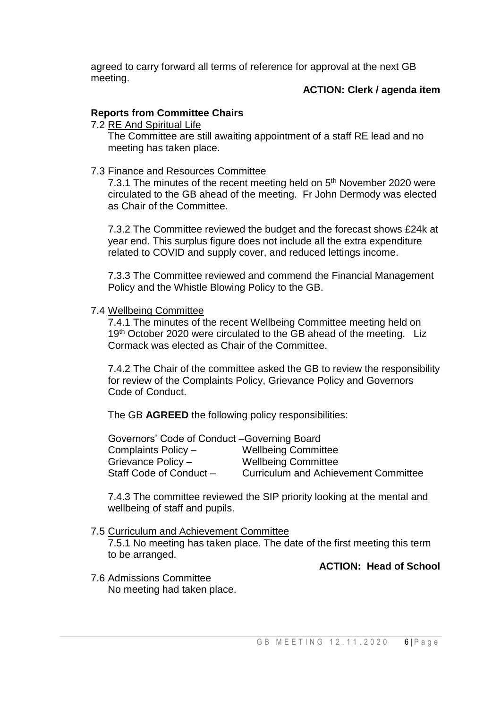agreed to carry forward all terms of reference for approval at the next GB meeting.

#### **ACTION: Clerk / agenda item**

#### **Reports from Committee Chairs**

#### 7.2 RE And Spiritual Life

The Committee are still awaiting appointment of a staff RE lead and no meeting has taken place.

#### 7.3 Finance and Resources Committee

7.3.1 The minutes of the recent meeting held on 5<sup>th</sup> November 2020 were circulated to the GB ahead of the meeting. Fr John Dermody was elected as Chair of the Committee.

7.3.2 The Committee reviewed the budget and the forecast shows £24k at year end. This surplus figure does not include all the extra expenditure related to COVID and supply cover, and reduced lettings income.

7.3.3 The Committee reviewed and commend the Financial Management Policy and the Whistle Blowing Policy to the GB.

#### 7.4 Wellbeing Committee

7.4.1 The minutes of the recent Wellbeing Committee meeting held on 19<sup>th</sup> October 2020 were circulated to the GB ahead of the meeting. Liz Cormack was elected as Chair of the Committee.

7.4.2 The Chair of the committee asked the GB to review the responsibility for review of the Complaints Policy, Grievance Policy and Governors Code of Conduct.

The GB **AGREED** the following policy responsibilities:

| Governors' Code of Conduct - Governing Board |                                             |  |  |
|----------------------------------------------|---------------------------------------------|--|--|
| Complaints Policy -                          | <b>Wellbeing Committee</b>                  |  |  |
| Grievance Policy -                           | <b>Wellbeing Committee</b>                  |  |  |
| Staff Code of Conduct -                      | <b>Curriculum and Achievement Committee</b> |  |  |

7.4.3 The committee reviewed the SIP priority looking at the mental and wellbeing of staff and pupils.

#### 7.5 Curriculum and Achievement Committee

7.5.1 No meeting has taken place. The date of the first meeting this term to be arranged.

**ACTION: Head of School** 

7.6 Admissions Committee No meeting had taken place.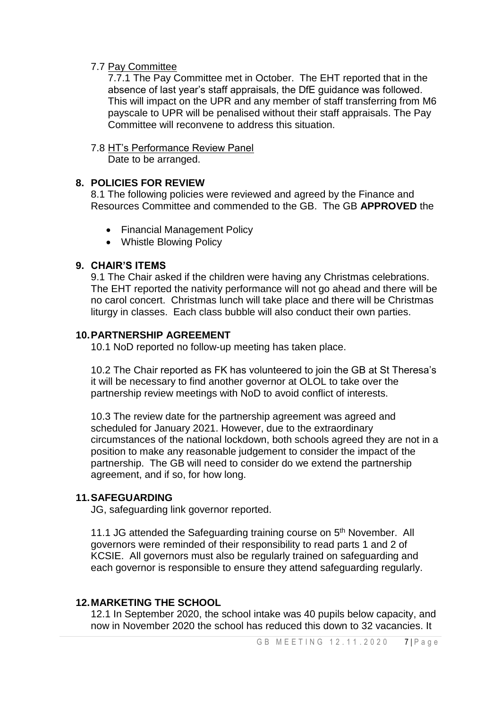#### 7.7 Pay Committee

7.7.1 The Pay Committee met in October. The EHT reported that in the absence of last year's staff appraisals, the DfE guidance was followed. This will impact on the UPR and any member of staff transferring from M6 payscale to UPR will be penalised without their staff appraisals. The Pay Committee will reconvene to address this situation.

# 7.8 HT's Performance Review Panel

Date to be arranged.

### **8. POLICIES FOR REVIEW**

8.1 The following policies were reviewed and agreed by the Finance and Resources Committee and commended to the GB. The GB **APPROVED** the

- Financial Management Policy
- Whistle Blowing Policy

#### **9. CHAIR'S ITEMS**

9.1 The Chair asked if the children were having any Christmas celebrations. The EHT reported the nativity performance will not go ahead and there will be no carol concert. Christmas lunch will take place and there will be Christmas liturgy in classes. Each class bubble will also conduct their own parties.

#### **10.PARTNERSHIP AGREEMENT**

10.1 NoD reported no follow-up meeting has taken place.

10.2 The Chair reported as FK has volunteered to join the GB at St Theresa's it will be necessary to find another governor at OLOL to take over the partnership review meetings with NoD to avoid conflict of interests.

10.3 The review date for the partnership agreement was agreed and scheduled for January 2021. However, due to the extraordinary circumstances of the national lockdown, both schools agreed they are not in a position to make any reasonable judgement to consider the impact of the partnership. The GB will need to consider do we extend the partnership agreement, and if so, for how long.

### **11.SAFEGUARDING**

JG, safeguarding link governor reported.

11.1 JG attended the Safeguarding training course on 5<sup>th</sup> November. All governors were reminded of their responsibility to read parts 1 and 2 of KCSIE. All governors must also be regularly trained on safeguarding and each governor is responsible to ensure they attend safeguarding regularly.

### **12.MARKETING THE SCHOOL**

12.1 In September 2020, the school intake was 40 pupils below capacity, and now in November 2020 the school has reduced this down to 32 vacancies. It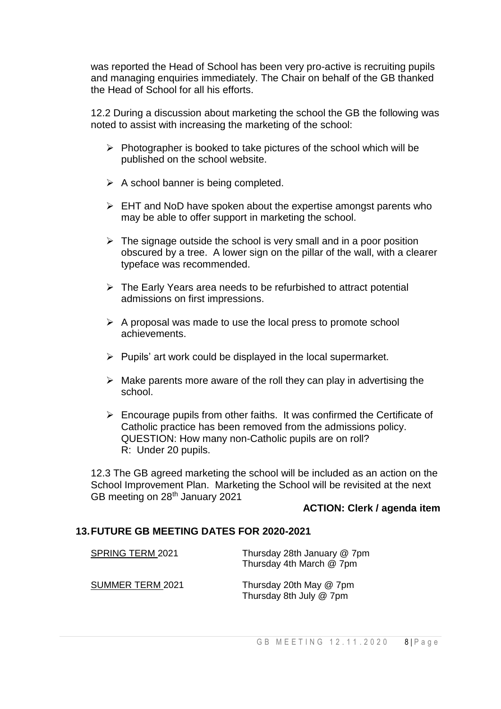was reported the Head of School has been very pro-active is recruiting pupils and managing enquiries immediately. The Chair on behalf of the GB thanked the Head of School for all his efforts.

12.2 During a discussion about marketing the school the GB the following was noted to assist with increasing the marketing of the school:

- $\triangleright$  Photographer is booked to take pictures of the school which will be published on the school website.
- $\triangleright$  A school banner is being completed.
- $\triangleright$  EHT and NoD have spoken about the expertise amongst parents who may be able to offer support in marketing the school.
- $\triangleright$  The signage outside the school is very small and in a poor position obscured by a tree. A lower sign on the pillar of the wall, with a clearer typeface was recommended.
- $\triangleright$  The Early Years area needs to be refurbished to attract potential admissions on first impressions.
- $\triangleright$  A proposal was made to use the local press to promote school achievements.
- $\triangleright$  Pupils' art work could be displayed in the local supermarket.
- $\triangleright$  Make parents more aware of the roll they can play in advertising the school.
- $\triangleright$  Encourage pupils from other faiths. It was confirmed the Certificate of Catholic practice has been removed from the admissions policy. QUESTION: How many non-Catholic pupils are on roll? R: Under 20 pupils.

12.3 The GB agreed marketing the school will be included as an action on the School Improvement Plan. Marketing the School will be revisited at the next GB meeting on 28<sup>th</sup> January 2021

#### **ACTION: Clerk / agenda item**

#### **13.FUTURE GB MEETING DATES FOR 2020-2021**

| SPRING TERM 2021 | Thursday 28th January @ 7pm<br>Thursday 4th March @ 7pm |
|------------------|---------------------------------------------------------|
| SUMMER TERM 2021 | Thursday 20th May @ 7pm<br>Thursday 8th July @ 7pm      |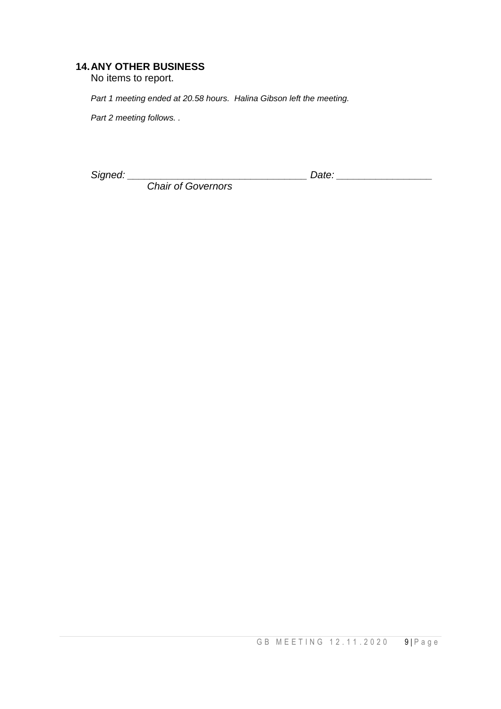# **14.ANY OTHER BUSINESS**

No items to report.

*Part 1 meeting ended at 20.58 hours. Halina Gibson left the meeting.*

*Part 2 meeting follows. .*

*Signed: \_\_\_\_\_\_\_\_\_\_\_\_\_\_\_\_\_\_\_\_\_\_\_\_\_\_\_\_\_\_\_\_ Date: \_\_\_\_\_\_\_\_\_\_\_\_\_\_\_\_\_*

 *Chair of Governors*